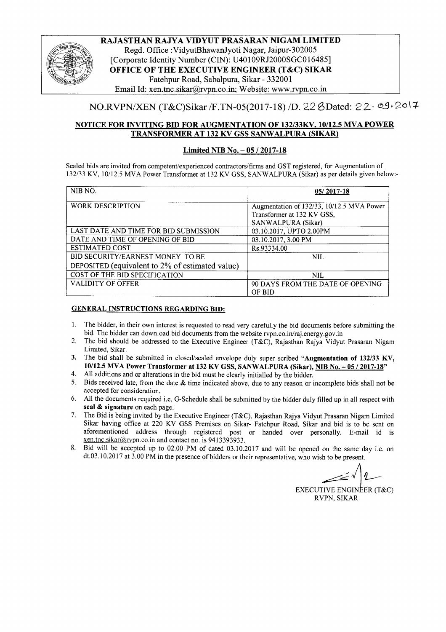

RAJASTHAN RAJYA VIDYUT PRASARAN NIGAM LIMITED Regd. Office :VidyutBhawanJyoti Nagar, Jaipur-302005 [Corporate Identity Number (CIN): U40109RJ2000SGC016485] OFFICE OF THE EXECUTIVE ENGINEER (T&C) SIKAR Fatehpur Road, Sabalpura, Sikar - 332001 Email Id: xen.tnc.sikar@rvpn.co.in; Website: www.rvpn.co.in

## *NO.RVPN/XEN* (T&C)Sikar /F.TN-05(2017-18) /D. 22 8Dated: 22· 0.9·2017

#### NOTICE FOR INVITING BID FOR AUGMENTATION OF *132/33KV, 10112.5*MVA POWER TRANSFORMER AT 132 KV GSS SANWALPURA (SIKAR)

#### Limited NIB No. - *05/2017-18*

Sealed bids are invited from competent/experienced contractors/firms and GST registered, for Augmentation of 132/33 KV, 10112.5MVA Power Transformer at 132 KV GSS, SANWALPURA (Sikar) as per details given below:-

| NIB NO.                                         | $05/2017-18$                                                            |
|-------------------------------------------------|-------------------------------------------------------------------------|
| <b>WORK DESCRIPTION</b>                         | Augmentation of 132/33, 10/12.5 MVA Power<br>Transformer at 132 KV GSS, |
|                                                 | SANWALPURA (Sikar)                                                      |
| LAST DATE AND TIME FOR BID SUBMISSION           | 03.10.2017, UPTO 2.00PM                                                 |
| DATE AND TIME OF OPENING OF BID                 | 03.10.2017, 3.00 PM                                                     |
| <b>ESTIMATED COST</b>                           | Rs.93334.00                                                             |
| BID SECURITY/EARNEST MONEY TO BE                | <b>NIL</b>                                                              |
| DEPOSITED (equivalent to 2% of estimated value) |                                                                         |
| COST OF THE BID SPECIFICATION                   | <b>NIL</b>                                                              |
| <b>VALIDITY OF OFFER</b>                        | 90 DAYS FROM THE DATE OF OPENING<br>OF BID                              |

#### GENERAL INSTRUCTIONS REGARDING BID:

- 1. The bidder, in their own interest is requested to read very carefully the bid documents before submitting the bid. The bidder can download bid documents from the website rvpn.co.in/raj.energy.gov.in
- 2. The bid should be addressed to the Executive Engineer (T&C), Rajasthan Rajya Vidyut Prasaran Nigam Limited, Sikar.
- 3. The bid shall be submitted in closed/sealed envelope duly super scribed "Augmentation of 132/33 KV, 10/12.5 MVA Power Transformer at 132 KV GSS, SANWALPURA (Sikar), NIB No. - 05 / 2017-18"
- 4. All additions and or alterations in the bid must be clearly initialled by the bidder.
- 5. Bids received late, from the date & time indicated above, due to any reason or incomplete bids shall not be accepted for consideration.
- 6. All the documents required i.e. G-Schedule shall be submitted by the bidder duly filled up in all respect with seal & signature on each page.
- 7. The Bid is being invited by the Executive Engineer (T&C), Rajasthan Rajya Vidyut Prasaran Nigam Limited Sikar having office at 220 KV GSS Premises on Sikar- Fatehpur Road, Sikar and bid is to be sent on aforementioned address through registered post or handed over personally. E-mail id is xen.tnc.sikar@rvpn.co.in and contact no. is 9413393933.
- 8. Bid will be accepted up to 02.00 PM of dated 03.10.2017 and will be opened on the same day i.e. on dt.03.10.2017 at 3.00 PM in the presence of bidders or their representative, who wish to be present.

*-J1~*

EXECUTIVE ENGINEER  $(T&C)$ RVPN, SIKAR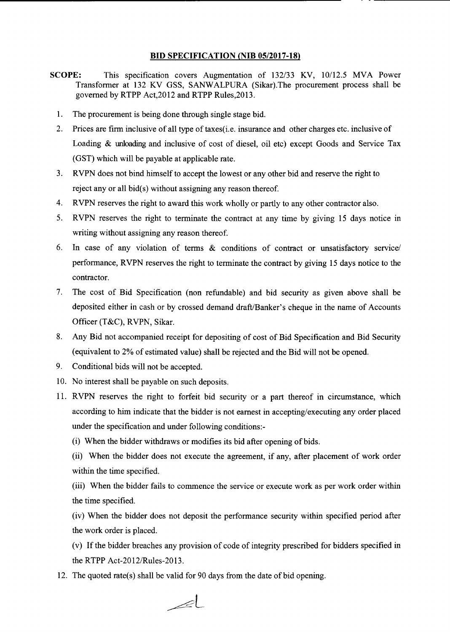#### **BID SPECIFICATION (NIB OS/2017-18)**

- **SCOPE:** This specification covers Augmentation of 132/33 KV, 10/12.5 MVA Power Transformer at 132 KV GSS, SANWALPURA (Sikar).The procurement process shall be governed by RTPP Act,2012 and RTPP Rules,2013.
	- 1. The procurement is being done through single stage bid.
	- 2. Prices are firm inclusive of all type of taxes(i.e. insurance and other charges etc. inclusive of Loading & unloading and inclusive of cost of diesel, oil etc) except Goods and Service Tax (GST) which will be payable at applicable rate.
	- 3. RVPN does not bind himself to accept the lowest or any other bid and reserve the right to reject any or all bid(s) without assigning any reason thereof.
	- 4. RVPN reserves the right to award this work wholly or partly to any other contractor also.
	- 5. RVPN reserves the right to terminate the contract at any time by giving 15 days notice in writing without assigning any reason thereof.
	- 6. In case of any violation of terms & conditions of contract or unsatisfactory service/ performance, RVPN reserves the right to terminate the contract by giving 15 days notice to the contractor.
	- 7. The cost of Bid Specification (non refundable) and bid security as given above shall be deposited either in cash or by crossed demand draft/Banker's cheque in the name of Accounts Officer (T&C), RVPN, Sikar.
	- 8. Any Bid not accompanied receipt for depositing of cost of Bid Specification and Bid Security (equivalent to 2% of estimated value) shall be rejected and the Bid will not be opened.
	- 9. Conditional bids will not be accepted.
	- 10. No interest shall be payable on such deposits.
	- 11. RVPN reserves the right to forfeit bid security or a part thereof in circumstance, which according to him indicate that the bidder is not earnest in accepting/executing any order placed under the specification and under following conditions:-
		- (i) When the bidder withdraws or modifies its bid after opening of bids.
		- (ii) When the bidder does not execute the agreement, if any, after placement of work order within the time specified.
		- (iii) When the bidder fails to commence the service or execute work as per work order within the time specified.
		- (iv) When the bidder does not deposit the performance security within specified period after the work order is placed.
		- (v) If the bidder breaches any provision of code of integrity prescribed for bidders specified in the RTPP Act-2012/Rules-2013.
	- 12. The quoted rate(s) shall be valid for 90 days from the date of bid opening.

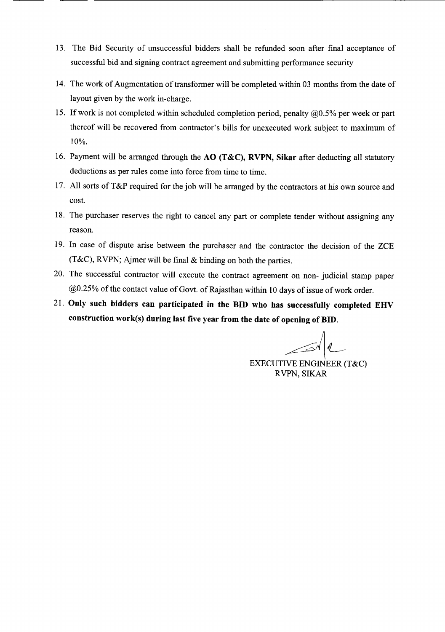- 13. The Bid Security of unsuccessful bidders shall be refunded soon after final acceptance of successful bid and signing contract agreement and submitting performance security
- 14. The work of Augmentation of transformer will be completed within 03 months from the date of layout given by the work in-charge.
- 15. If work is not completed within scheduled completion period, penalty  $(20.5\%$  per week or part thereof will be recovered from contractor's bills for unexecuted work subject to maximum of 10%.
- 16. Payment will be arranged through the AO (T&C), RVPN, Sikar after deducting all statutory deductions as per rules come into force from time to time.
- 17. All sorts of T&P required for the job will be arranged by the contractors at his own source and cost.
- 18. The purchaser reserves the right to cancel any part or complete tender without assigning any reason.
- 19. In case of dispute arise between the purchaser and the contractor the decision of the ZCE (T&C), RVPN; Ajmer will be final & binding on both the parties.
- 20. The successful contractor will execute the contract agreement on non- judicial stamp paper @0.25% of the contact value of Govt. of Rajasthan within 10 days of issue of work order.
- 21. Only such bidders can participated in the **BID** who has successfully completed EHV construction work(s) during last five year from the date of opening of BID.

EXECUTIVE ENGINEER (T&C)

RVPN, SIKAR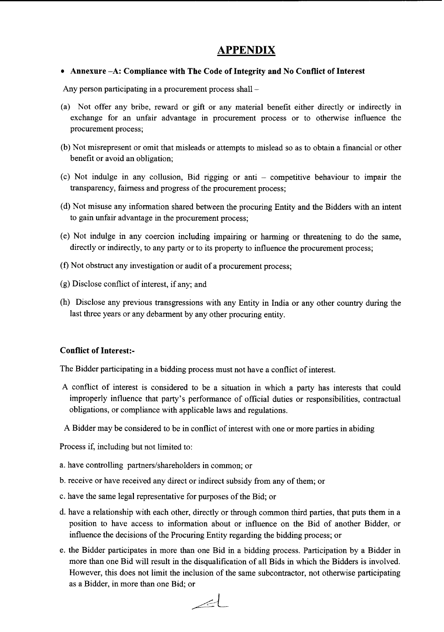# **APPENDIX**

## • Annexure -A: Compliance with The Code of Integrity and No Conflict of Interest

Any person participating in a procurement process shall -

- (a) Not offer any bribe, reward or gift or any material benefit either directly or indirectly in exchange for an unfair advantage in procurement process or to otherwise influence the procurement process;
- (b) Not misrepresent or omit that misleads or attempts to mislead so as to obtain a financial or other benefit or avoid an obligation;
- (c) Not indulge in any collusion, Bid rigging or anti competitive behaviour to impair the transparency, fairness and progress of the procurement process;
- (d) Not misuse any information shared between the procuring Entity and the Bidders with an intent to gain unfair advantage in the procurement process;
- (e) Not indulge in any coercion including impairing or harming or threatening to do the same, directly or indirectly, to any party or to its property to influence the procurement process;
- (f) Not obstruct any investigation or audit of a procurement process;
- (g) Disclose conflict of interest, if any; and
- (h) Disclose any previous transgressions with any Entity in India or any other country during the last three years or any debarment by any other procuring entity.

## Conflict of Interest:-

The Bidder participating in a bidding process must not have a conflict of interest.

- A conflict of interest is considered to be a situation in which a party has interests that could improperly influence that party's performance of official duties or responsibilities, contractual obligations, or compliance with applicable laws and regulations.
- A Bidder may be considered to be in conflict of interest with one or more parties in abiding

Process if, including but not limited to:

- a. have controlling partners/shareholders in common; or
- b. receive or have received any direct or indirect subsidy from any of them; or
- c. have the same legal representative for purposes of the Bid; or
- d. have a relationship with each other, directly or through common third parties, that puts them in a position to have access to information about or influence on the Bid of another Bidder, or influence the decisions of the Procuring Entity regarding the bidding process; or
- e. the Bidder participates in more than one Bid in a bidding process. Participation by a Bidder in more than one Bid will result in the disqualification of all Bids in which the Bidders is involved. However, this does not limit the inclusion of the same subcontractor, not otherwise participating as a Bidder, in more than one Bid; or

 $\angle$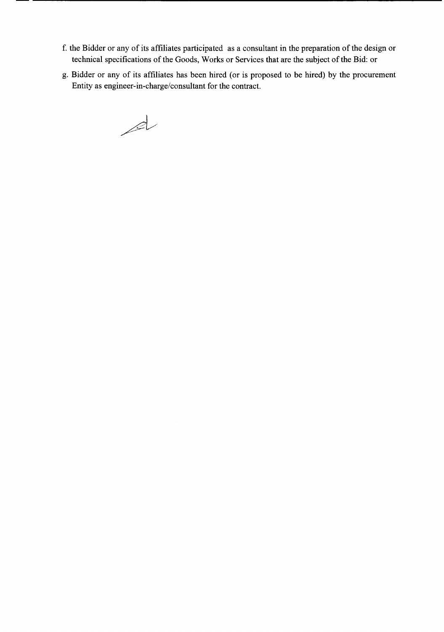- f. the Bidder or any of its affiliates participated as a consultant in the preparation of the design or technical specifications of the Goods, Works or Services that are the subject of the Bid: or
- g. Bidder or any of its affiliates has been hired (or is proposed to be hired) by the procurement Entity as engineer-in-charge/consultant for the contract.

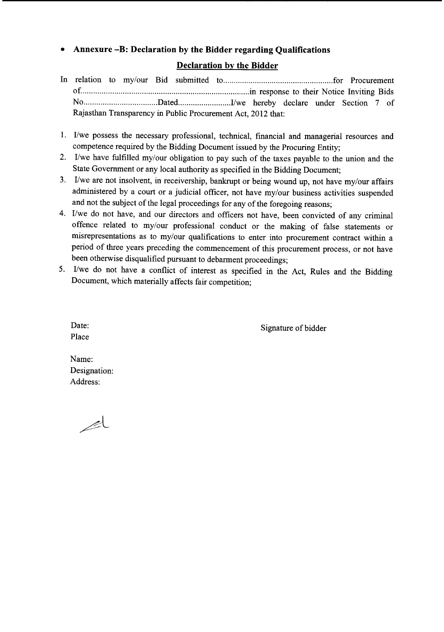## **• Annexure -B: Declaration by the Bidder regarding Qualifications**

## **Declaration by the Bidder**

- In relation to my/our Bid submitted to for for an example of Procurement of .in response to their Notice Inviting Bids NO Dated .I/we hereby declare under Section 7 of Rajasthan Transparency in Public Procurement Act, 2012 that:
- 1. I/we possess the necessary professional, technical, financial and managerial resources and competence required by the Bidding Document issued by the Procuring Entity;
- 2. I/we have fulfilled my/our obligation to pay such of the taxes payable to the union and the State Government or any local authority as specified in the Bidding Document;
- 3. I/we are not insolvent, in receivership, bankrupt or being wound up, not have my/our affairs administered by a court or a judicial officer, not have my/our business activities suspended and not the subject of the legal proceedings for any of the foregoing reasons;
- 4. I/we do not have, and our directors and officers not have, been convicted of any criminal offence related to my/our professional conduct or the making of false statements or misrepresentations as to my/our qualifications to enter into procurement contract within a period of three years preceding the commencement of this procurement process, or not have been otherwise disqualified pursuant to debarment proceedings;
- 5. I/we do not have a conflict of interest as specified in the Act, Rules and the Bidding Document, which materially affects fair competition;

Signature of bidder

Date: Place

Name: Designation: Address:

 $\mathbb{R}^{\mathsf{L}}$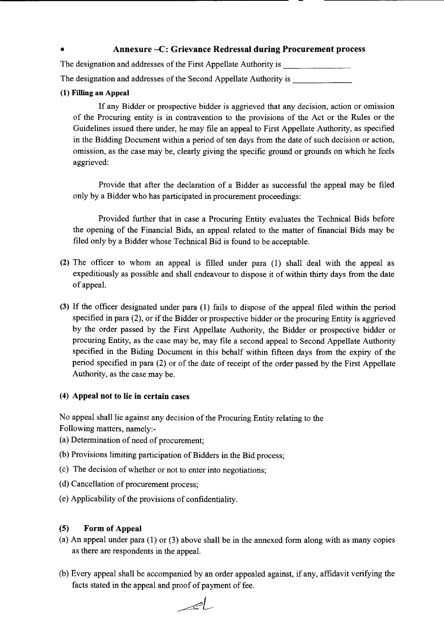## • Annexure -C: Grievance Redressal during Procurement process

The designation and addresses of the First Appellate Authority is \_

The designation and addresses of the Second Appellate Authority is \_\_\_\_\_\_\_\_\_\_\_\_\_\_

## (1) Filling an Appeal

If any Bidder or prospective bidder is aggrieved that any decision, action or omission of the Procuring entity is in contravention to the provisions of the Act or the Rules or the Guidelines issued there under, he may file an appeal to First Appellate Authority, as specified in the Bidding Document within a period of ten days from the date of such decision or action, omission, as the case may be, clearly giving the specific ground or grounds on which he feels aggrieved:

Provide that after the declaration of a Bidder as successful the appeal may be filed only by a Bidder who has participated in procurement proceedings:

Provided further that in case a Procuring Entity evaluates the Technical Bids before the opening of the Financial Bids, an appeal related to the matter of fmancial Bids may be filed only by a Bidder whose Technical Bid is found to be acceptable.

- (2) The officer to whom an appeal is filled under para (1) shall deal with the appeal as expeditiously as possible and shall endeavour to dispose it of within thirty days from the date of appeal.
- (3) If the officer designated under para (1) fails to dispose of the appeal filed within the period specified in para (2), or if the Bidder or prospective bidder or the procuring Entity is aggrieved by the order passed by the First Appellate Authority, the Bidder or prospective bidder or procuring Entity, as the case may be, may file a second appeal to Second Appellate Authority specified in the Biding Document in this behalf within fifteen days from the expiry of the period specified in para (2) or of the date of receipt of the order passed by the First Appellate Authority, as the case may be.

## (4) Appeal not to lie in certain cases

No appeal shall lie against any decision of the Procuring Entity relating to the Following matters, namely:-

- (a) Determination of need of procurement;
- (b) Provisions limiting participation of Bidders in the Bid process;
- (c) The decision of whether or not to enter into negotiations;
- (d) Cancellation of procurement process;
- (e) Applicability of the provisions of confidentiality.

## (5) Form of Appeal

- (a) An appeal under para (1) or (3) above shall be in the annexed form along with as many copies as there are respondents in the appeal.
- (b) Every appeal shall be accompanied by an order appealed against, if any, affidavit verifying the facts stated in the appeal and proof of payment of fee.

 $\mathcal{A}$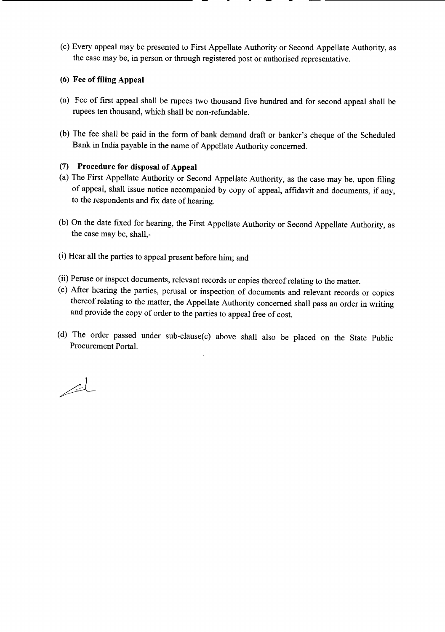(c) Every appeal may be presented to First Appellate Authority or Second Appellate Authority, as the case may be, in person or through registered post or authorised representative.

## (6) **Fee of filing Appeal**

- (a) Fee of first appeal shall be rupees two thousand five hundred and for second appeal shall be rupees ten thousand, which shall be non-refundable.
- (b) The fee shall be paid in the form of bank demand draft or banker's cheque of the Scheduled Bank in India payable in the name of Appellate Authority concerned.

## (7) **Procedure for disposal of Appeal**

- (a) The First Appellate Authority or Second Appellate Authority, as the case may be, upon filing of appeal, shall issue notice accompanied by copy of appeal, affidavit and documents, if any, to the respondents and fix date of hearing.
- (b) **On** the date fixed for hearing, the First Appellate Authority or Second Appellate Authority, as the case may be, shall,-
- (i) Hear all the parties to appeal present before him; and
- (ii) Peruse or inspect documents, relevant records or copies thereof relating to the matter.
- (c) After hearing the parties, perusal or inspection of documents and relevant records or copies thereof relating to the matter, the Appellate Authority concerned shall pass an order in writing and provide the copy of order to the parties to appeal free of cost.
- (d) The order passed under sub-clause(c) above shall also be placed on the State Public Procurement Portal.

 $\mathbb{Z}$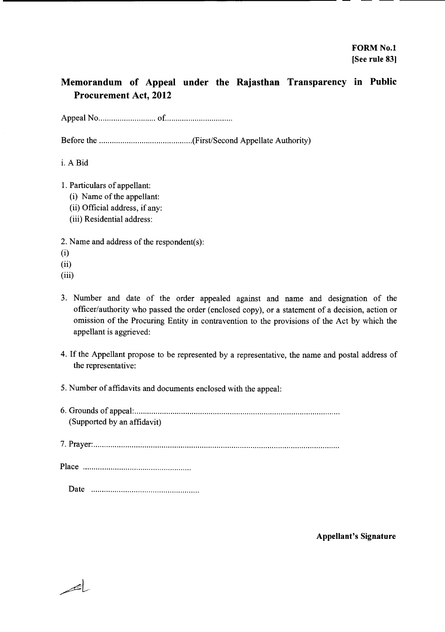# Memorandum of Appeal under the Rajasthan Transparency in Public Procurement Act, 2012

Appeal No of. .

Before the (First/Second Appellate Authority)

i. A Bid

- 1. Particulars of appellant:
	- (i) Name of the appellant:
	- (ii) Official address, if any:
	- (iii) Residential address:

2. Name and address of the respondent(s):

- (i)
- (ii)
- (iii)

باصر

- 3. Number and date of the order appealed against and name and designation of the officer/authority who passed the order (enclosed copy), or a statement of a decision, action or omission of the Procuring Entity in contravention to the provisions of the Act by which the appellant is aggrieved:
- 4. If the Appellant propose to be represented by a representative, the name and postal address of the representative:
- 5. Number of affidavits and documents enclosed with the appeal:
- 6. Grounds of appeal: . (Supported by an affidavit)

7. Prayer: .

Place .

Date ..

Appellant's Signature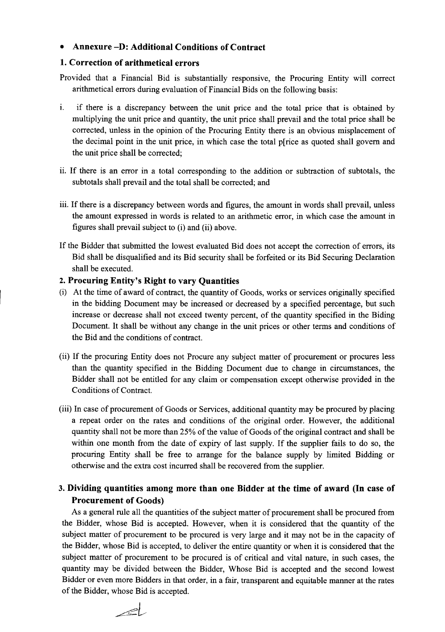## • Annexure -D: Additional Conditions of Contract

## 1.Correction of arithmetical errors

Provided that a Financial Bid is substantially responsive, the Procuring Entity will correct arithmetical errors during evaluation of Financial Bids on the following basis:

- 1. if there is a discrepancy between the unit price and the total price that is obtained by multiplying the unit price and quantity, the unit price shall prevail and the total price shall be corrected, unless in the opinion of the Procuring Entity there is an obvious misplacement of the decimal point in the unit price, in which case the total p[rice as quoted shall govern and the unit price shall be corrected;
- ii. If there is an error in a total corresponding to the addition or subtraction of subtotals, the subtotals shall prevail and the total shall be corrected; and
- iii. If there is a discrepancy between words and figures, the amount in words shall prevail, unless the amount expressed in words is related to an arithmetic error, in which case the amount in figures shall prevail subject to (i) and (ii) above.
- If the Bidder that submitted the lowest evaluated Bid does not accept the correction of errors, its Bid shall be disqualified and its Bid security shall be forfeited or its Bid Securing Declaration shall be executed.

## 2. Procuring Entity's Right to vary Quantities

- (i) At the time of award of contract, the quantity of Goods, works or services originally specified in the bidding Document may be increased or decreased by a specified percentage, but such increase or decrease shall not exceed twenty percent, of the quantity specified in the Biding Document. It shall be without any change in the unit prices or other terms and conditions of the Bid and the conditions of contract.
- (ii) If the procuring Entity does not Procure any subject matter of procurement or procures less than the quantity specified in the Bidding Document due to change in circumstances, the Bidder shall not be entitled for any claim or compensation except otherwise provided in the Conditions of Contract.
- (iii) In case of procurement of Goods or Services, additional quantity may be procured by placing a repeat order on the rates and conditions of the original order. However, the additional quantity shall not be more than 25% of the value of Goods of the original contract and shall be within one month from the date of expiry of last supply. If the supplier fails to do so, the procuring Entity shall be free to arrange for the balance supply by limited Bidding or otherwise and the extra cost incurred shall be recovered from the supplier.
- 3. Dividing quantities among more than one Bidder at the time of award (In case of Procurement of Goods)

As a general rule all the quantities of the subject matter of procurement shall be procured from the Bidder, whose Bid is accepted. However, when it is considered that the quantity of the subject matter of procurement to be procured is very large and it may not be in the capacity of the Bidder, whose Bid is accepted, to deliver the entire quantity or when it is considered that the subject matter of procurement to be procured is of critical and vital nature, in such cases, the quantity may be divided between the Bidder, Whose Bid is accepted and the second lowest Bidder or even more Bidders in that order, in a fair, transparent and equitable manner at the rates of the Bidder, whose Bid is accepted.

 $\geq$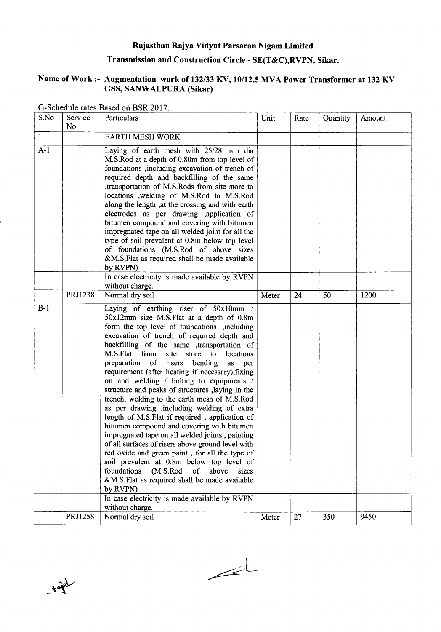# Rajasthan Rajya Vidyut Par saran Nigam Limited

## Transmission and Construction Circle - SE(T&C),RVPN, Sikar.

## Name of Work:- Augmentation work of *132/33* KV, *10112.5* MVA Power Transformer at 132 KV GSS, SANWALPURA (Sikar)

| S.No         | Service | Particulars                                                                                                                                                                                                                                                                                                                                                                                                                                                                                                                                                                                                                                                                                                                                                                                                                                                                                                                                                                                                                                       | Unit  | Rate | Quantity | Amount |
|--------------|---------|---------------------------------------------------------------------------------------------------------------------------------------------------------------------------------------------------------------------------------------------------------------------------------------------------------------------------------------------------------------------------------------------------------------------------------------------------------------------------------------------------------------------------------------------------------------------------------------------------------------------------------------------------------------------------------------------------------------------------------------------------------------------------------------------------------------------------------------------------------------------------------------------------------------------------------------------------------------------------------------------------------------------------------------------------|-------|------|----------|--------|
|              | No.     |                                                                                                                                                                                                                                                                                                                                                                                                                                                                                                                                                                                                                                                                                                                                                                                                                                                                                                                                                                                                                                                   |       |      |          |        |
| $\mathbf{1}$ |         | <b>EARTH MESH WORK</b>                                                                                                                                                                                                                                                                                                                                                                                                                                                                                                                                                                                                                                                                                                                                                                                                                                                                                                                                                                                                                            |       |      |          |        |
| $A-1$        |         | Laying of earth mesh with 25/28 mm dia<br>M.S.Rod at a depth of 0.80m from top level of<br>foundations , including excavation of trench of<br>required depth and backfilling of the same<br>transportation of M.S.Rods from site store to<br>locations ,welding of M.S.Rod to M.S.Rod<br>along the length , at the crossing and with earth<br>electrodes as per drawing ,application of<br>bitumen compound and covering with bitumen<br>impregnated tape on all welded joint for all the<br>type of soil prevalent at 0.8m below top level<br>of foundations (M.S.Rod of above sizes<br>&M.S.Flat as required shall be made available<br>by RVPN)                                                                                                                                                                                                                                                                                                                                                                                                |       |      |          |        |
|              |         | In case electricity is made available by RVPN<br>without charge.                                                                                                                                                                                                                                                                                                                                                                                                                                                                                                                                                                                                                                                                                                                                                                                                                                                                                                                                                                                  |       |      |          |        |
|              | PRJ1238 | Normal dry soil                                                                                                                                                                                                                                                                                                                                                                                                                                                                                                                                                                                                                                                                                                                                                                                                                                                                                                                                                                                                                                   | Meter | 24   | 50       | 1200   |
| $B-1$        |         | Laying of earthing riser of 50x10mm /<br>50x12mm size M.S.Flat at a depth of 0.8m<br>form the top level of foundations , including<br>excavation of trench of required depth and<br>backfilling of the same ,transportation of<br>M.S.Flat from site store<br>to<br>locations<br>preparation of risers<br>bending<br>as per<br>requirement (after heating if necessary), fixing<br>on and welding / bolting to equipments /<br>structure and peaks of structures , laying in the<br>trench, welding to the earth mesh of M.S.Rod<br>as per drawing , including welding of extra<br>length of M.S.Flat if required, application of<br>bitumen compound and covering with bitumen<br>impregnated tape on all welded joints, painting<br>of all surfaces of risers above ground level with<br>red oxide and green paint, for all the type of<br>soil prevalent at 0.8m below top level of<br>foundations<br>(M.S.Rod of above<br>sizes<br>&M.S.Flat as required shall be made available<br>by RVPN)<br>In case electricity is made available by RVPN |       |      |          |        |
|              |         | without charge.                                                                                                                                                                                                                                                                                                                                                                                                                                                                                                                                                                                                                                                                                                                                                                                                                                                                                                                                                                                                                                   |       |      |          |        |
|              | PRJ1258 | Normal dry soil                                                                                                                                                                                                                                                                                                                                                                                                                                                                                                                                                                                                                                                                                                                                                                                                                                                                                                                                                                                                                                   | Meter | 27   | 350      | 9450   |

G-Schedule rates Based on BSR 2017



 $\leq$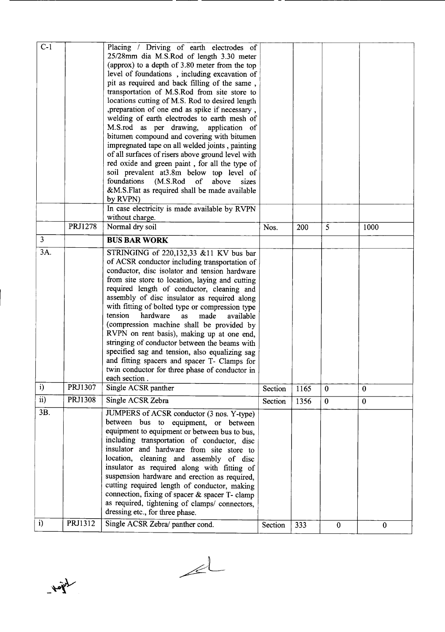| $C-1$           |                | Placing / Driving of earth electrodes of          |         |      |                  |              |
|-----------------|----------------|---------------------------------------------------|---------|------|------------------|--------------|
|                 |                | 25/28mm dia M.S.Rod of length 3.30 meter          |         |      |                  |              |
|                 |                | (approx) to a depth of 3.80 meter from the top    |         |      |                  |              |
|                 |                | level of foundations, including excavation of     |         |      |                  |              |
|                 |                | pit as required and back filling of the same,     |         |      |                  |              |
|                 |                | transportation of M.S.Rod from site store to      |         |      |                  |              |
|                 |                |                                                   |         |      |                  |              |
|                 |                | locations cutting of M.S. Rod to desired length   |         |      |                  |              |
|                 |                | , preparation of one end as spike if necessary,   |         |      |                  |              |
|                 |                | welding of earth electrodes to earth mesh of      |         |      |                  |              |
|                 |                | M.S.rod as per drawing, application of            |         |      |                  |              |
|                 |                | bitumen compound and covering with bitumen        |         |      |                  |              |
|                 |                | impregnated tape on all welded joints, painting   |         |      |                  |              |
|                 |                | of all surfaces of risers above ground level with |         |      |                  |              |
|                 |                | red oxide and green paint, for all the type of    |         |      |                  |              |
|                 |                | soil prevalent at 3.8m below top level of         |         |      |                  |              |
|                 |                | foundations (M.S.Rod of<br>above<br>sizes         |         |      |                  |              |
|                 |                | &M.S.Flat as required shall be made available     |         |      |                  |              |
|                 |                | by RVPN)                                          |         |      |                  |              |
|                 |                | In case electricity is made available by RVPN     |         |      |                  |              |
|                 |                | without charge.                                   |         |      |                  |              |
|                 | <b>PRJ1278</b> | Normal dry soil                                   | Nos.    | 200  | 5                | 1000         |
| $\mathfrak{Z}$  |                | <b>BUS BAR WORK</b>                               |         |      |                  |              |
| 3A.             |                | STRINGING of 220,132,33 &11 KV bus bar            |         |      |                  |              |
|                 |                | of ACSR conductor including transportation of     |         |      |                  |              |
|                 |                | conductor, disc isolator and tension hardware     |         |      |                  |              |
|                 |                | from site store to location, laying and cutting   |         |      |                  |              |
|                 |                | required length of conductor, cleaning and        |         |      |                  |              |
|                 |                | assembly of disc insulator as required along      |         |      |                  |              |
|                 |                | with fitting of bolted type or compression type   |         |      |                  |              |
|                 |                | tension<br>hardware<br>as<br>made<br>available    |         |      |                  |              |
|                 |                | (compression machine shall be provided by         |         |      |                  |              |
|                 |                | RVPN on rent basis), making up at one end,        |         |      |                  |              |
|                 |                | stringing of conductor between the beams with     |         |      |                  |              |
|                 |                | specified sag and tension, also equalizing sag    |         |      |                  |              |
|                 |                | and fitting spacers and spacer T- Clamps for      |         |      |                  |              |
|                 |                | twin conductor for three phase of conductor in    |         |      |                  |              |
|                 |                | each section.                                     |         |      |                  |              |
| i)              | PRJ1307        | Single ACSR panther                               | Section | 1165 | $\mathbf 0$      | $\bf{0}$     |
| $\overline{ii}$ | PRJ1308        | Single ACSR Zebra                                 | Section | 1356 | $\boldsymbol{0}$ | $\mathbf{0}$ |
| 3B.             |                | JUMPERS of ACSR conductor (3 nos. Y-type)         |         |      |                  |              |
|                 |                | between bus to equipment, or between              |         |      |                  |              |
|                 |                | equipment to equipment or between bus to bus,     |         |      |                  |              |
|                 |                | including transportation of conductor, disc       |         |      |                  |              |
|                 |                | insulator and hardware from site store to         |         |      |                  |              |
|                 |                | location, cleaning and assembly of disc           |         |      |                  |              |
|                 |                | insulator as required along with fitting of       |         |      |                  |              |
|                 |                |                                                   |         |      |                  |              |
|                 |                | suspension hardware and erection as required,     |         |      |                  |              |
|                 |                | cutting required length of conductor, making      |         |      |                  |              |
|                 |                | connection, fixing of spacer & spacer T- clamp    |         |      |                  |              |
|                 |                | as required, tightening of clamps/ connectors,    |         |      |                  |              |
|                 |                | dressing etc., for three phase.                   |         |      |                  |              |
| $\mathbf{i}$    | PRJ1312        | Single ACSR Zebra/ panther cond.                  | Section | 333  | $\bf{0}$         | $\mathbf{0}$ |

 $\angle L$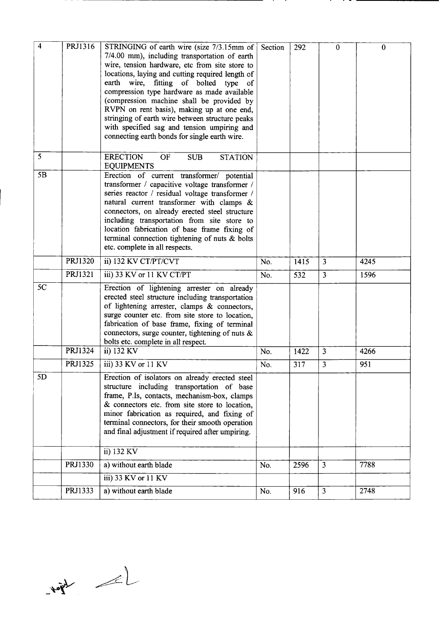| 4  | PRJ1316 | STRINGING of earth wire (size 7/3.15mm of<br>7/4.00 mm), including transportation of earth<br>wire, tension hardware, etc from site store to<br>locations, laying and cutting required length of<br>earth wire, fitting of bolted type of<br>compression type hardware as made available<br>(compression machine shall be provided by<br>RVPN on rent basis), making up at one end,<br>stringing of earth wire between structure peaks<br>with specified sag and tension umpiring and | Section | 292  | $\bf{0}$       | $\mathbf{0}$ |
|----|---------|---------------------------------------------------------------------------------------------------------------------------------------------------------------------------------------------------------------------------------------------------------------------------------------------------------------------------------------------------------------------------------------------------------------------------------------------------------------------------------------|---------|------|----------------|--------------|
| 5  |         | connecting earth bonds for single earth wire.<br><b>ERECTION</b><br>OF<br><b>SUB</b><br><b>STATION</b>                                                                                                                                                                                                                                                                                                                                                                                |         |      |                |              |
|    |         | <b>EQUIPMENTS</b>                                                                                                                                                                                                                                                                                                                                                                                                                                                                     |         |      |                |              |
| 5B |         | Erection of current transformer/ potential<br>transformer / capacitive voltage transformer /<br>series reactor / residual voltage transformer /<br>natural current transformer with clamps &<br>connectors, on already erected steel structure<br>including transportation from site store to<br>location fabrication of base frame fixing of<br>terminal connection tightening of nuts & bolts<br>etc. complete in all respects.                                                     |         |      |                |              |
|    | PRJ1320 | ii) 132 KV CT/PT/CVT                                                                                                                                                                                                                                                                                                                                                                                                                                                                  | No.     | 1415 | $\overline{3}$ | 4245         |
|    | PRJ1321 | iii) 33 KV or 11 KV CT/PT                                                                                                                                                                                                                                                                                                                                                                                                                                                             | No.     | 532  | $\overline{3}$ | 1596         |
| 5C |         | Erection of lightening arrester on already<br>erected steel structure including transportation<br>of lightening arrester, clamps & connectors,<br>surge counter etc. from site store to location,<br>fabrication of base frame, fixing of terminal<br>connectors, surge counter, tightening of nuts $\&$<br>bolts etc. complete in all respect.                                                                                                                                       |         |      |                |              |
|    | PRJ1324 | ii) 132 KV                                                                                                                                                                                                                                                                                                                                                                                                                                                                            | No.     | 1422 | $\overline{3}$ | 4266         |
|    | PRJ1325 | iii) 33 KV or 11 KV                                                                                                                                                                                                                                                                                                                                                                                                                                                                   | No.     | 317  | $\overline{3}$ | 951          |
| 5D |         | Erection of isolators on already erected steel<br>structure including transportation of base<br>frame, P.Is, contacts, mechanism-box, clamps<br>& connectors etc. from site store to location,<br>minor fabrication as required, and fixing of<br>terminal connectors, for their smooth operation<br>and final adjustment if required after umpiring.                                                                                                                                 |         |      |                |              |
|    |         | ii) 132 KV                                                                                                                                                                                                                                                                                                                                                                                                                                                                            |         |      |                |              |
|    | PRJ1330 | a) without earth blade                                                                                                                                                                                                                                                                                                                                                                                                                                                                | No.     | 2596 | $\overline{3}$ | 7788         |
|    |         | iii) 33 KV or 11 KV                                                                                                                                                                                                                                                                                                                                                                                                                                                                   |         |      |                |              |
|    | PRJ1333 | a) without earth blade                                                                                                                                                                                                                                                                                                                                                                                                                                                                | No.     | 916  | $\overline{3}$ | 2748         |

 $12 - \frac{1}{2}$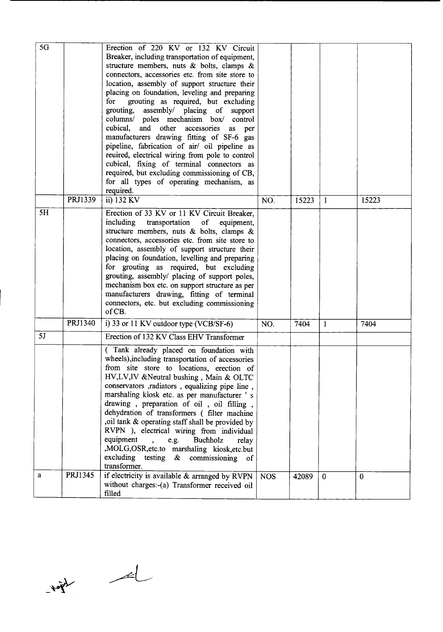| 5G |         | Erection of 220 KV or 132 KV Circuit<br>Breaker, including transportation of equipment,<br>structure members, nuts $\&$ bolts, clamps $\&$<br>connectors, accessories etc. from site store to<br>location, assembly of support structure their<br>placing on foundation, leveling and preparing<br>for<br>grouting as required, but excluding<br>grouting, assembly/ placing of support<br>columns/ poles mechanism box/ control<br>cubical,<br>and other accessories<br>as<br>per<br>manufacturers drawing fitting of SF-6 gas<br>pipeline, fabrication of air/ oil pipeline as<br>reuired, electrical wiring from pole to control<br>cubical, fixing of terminal connectors as<br>required, but excluding commissioning of CB,<br>for all types of operating mechanism, as<br>required. |            |       |              |          |
|----|---------|-------------------------------------------------------------------------------------------------------------------------------------------------------------------------------------------------------------------------------------------------------------------------------------------------------------------------------------------------------------------------------------------------------------------------------------------------------------------------------------------------------------------------------------------------------------------------------------------------------------------------------------------------------------------------------------------------------------------------------------------------------------------------------------------|------------|-------|--------------|----------|
|    | PRJ1339 | ii) 132 KV                                                                                                                                                                                                                                                                                                                                                                                                                                                                                                                                                                                                                                                                                                                                                                                | NO.        | 15223 | $\mathbf{1}$ | 15223    |
| 5H |         | Erection of 33 KV or 11 KV Circuit Breaker,<br>including<br>transportation<br>of<br>equipment,<br>structure members, nuts & bolts, clamps $\&$<br>connectors, accessories etc. from site store to<br>location, assembly of support structure their<br>placing on foundation, levelling and preparing<br>for grouting as required, but excluding<br>grouting, assembly/ placing of support poles,<br>mechanism box etc. on support structure as per<br>manufacturers drawing, fitting of terminal<br>connectors, etc. but excluding commissioning<br>of CB.                                                                                                                                                                                                                                |            |       |              |          |
|    | PRJ1340 | i) 33 or 11 KV outdoor type (VCB/SF-6)                                                                                                                                                                                                                                                                                                                                                                                                                                                                                                                                                                                                                                                                                                                                                    | NO.        | 7404  | $\mathbf{1}$ | 7404     |
| 5J |         | Erection of 132 KV Class EHV Transformer                                                                                                                                                                                                                                                                                                                                                                                                                                                                                                                                                                                                                                                                                                                                                  |            |       |              |          |
|    |         | (Tank already placed on foundation with<br>wheels), including transportation of accessories<br>from site store to locations, erection of<br>HV, LV, IV & Neutral bushing, Main & OLTC<br>conservators , radiators , equalizing pipe line,<br>marshaling kiosk etc. as per manufacturer 's<br>drawing, preparation of oil, oil filling,<br>dehydration of transformers (filter machine<br>,oil tank & operating staff shall be provided by<br>RVPN ), electrical wiring from individual<br>equipment<br>e.g.<br>Buchholz<br>relay<br>$\ddot{\phantom{0}}$<br>,MOLG,OSR,etc.to marshaling kiosk,etc.but<br>excluding testing $\&$ commissioning<br>$\circ$ of<br>transformer.                                                                                                               |            |       |              |          |
| a  | PRJ1345 | if electricity is available & arranged by RVPN<br>without charges:-(a) Transformer received oil<br>filled                                                                                                                                                                                                                                                                                                                                                                                                                                                                                                                                                                                                                                                                                 | <b>NOS</b> | 42089 | $\theta$     | $\theta$ |

 $\frac{1}{2}$